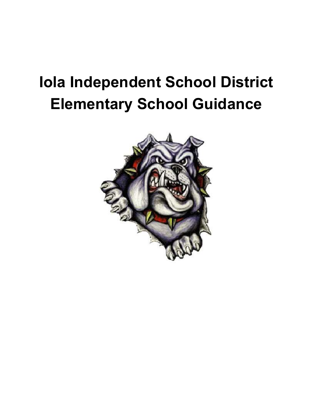# Iola Independent School District Elementary School Guidance

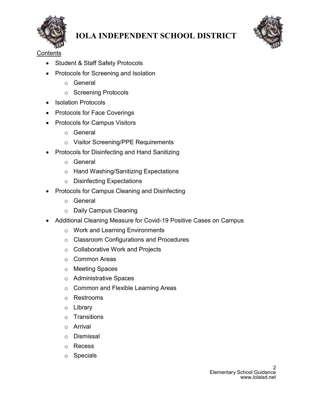



**Contents** 

- Student & Staff Safety Protocols
- Protocols for Screening and Isolation
	- o General
	- o Screening Protocols
- Isolation Protocols
- Protocols for Face Coverings
- Protocols for Campus Visitors
	- o General
	- o Visitor Screening/PPE Requirements
- Protocols for Disinfecting and Hand Sanitizing
	- o General
	- o Hand Washing/Sanitizing Expectations
	- o Disinfecting Expectations
- Protocols for Campus Cleaning and Disinfecting
	- o General
	- o Daily Campus Cleaning
- Additional Cleaning Measure for Covid-19 Positive Cases on Campus
	- o Work and Learning Environments
	- o Classroom Configurations and Procedures
	- o Collaborative Work and Projects
	- o Common Areas
	- o Meeting Spaces
	- o Administrative Spaces
	- o Common and Flexible Learning Areas
	- o Restrooms
	- o Library
	- o Transitions
	- o Arrival
	- o Dismissal
	- o Recess
	- o Specials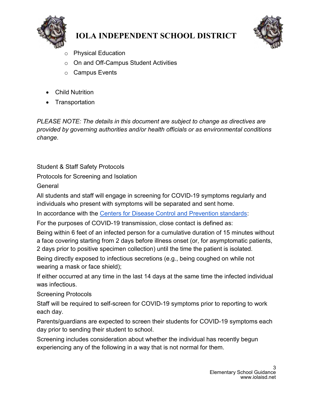



- **Physical Education**
- o On and Off-Campus Student Activities
- o Campus Events
- Child Nutrition
- Transportation

PLEASE NOTE: The details in this document are subject to change as directives are provided by governing authorities and/or health officials or as environmental conditions change.

Student & Staff Safety Protocols

Protocols for Screening and Isolation

**General** 

All students and staff will engage in screening for COVID-19 symptoms regularly and individuals who present with symptoms will be separated and sent home.

In accordance with the Centers for Disease Control and Prevention standards:

For the purposes of COVID-19 transmission, close contact is defined as:

Being within 6 feet of an infected person for a cumulative duration of 15 minutes without a face covering starting from 2 days before illness onset (or, for asymptomatic patients, 2 days prior to positive specimen collection) until the time the patient is isolated.

Being directly exposed to infectious secretions (e.g., being coughed on while not wearing a mask or face shield);

If either occurred at any time in the last 14 days at the same time the infected individual was infectious.

Screening Protocols

Staff will be required to self-screen for COVID-19 symptoms prior to reporting to work each day.

Parents/guardians are expected to screen their students for COVID-19 symptoms each day prior to sending their student to school.

Screening includes consideration about whether the individual has recently begun experiencing any of the following in a way that is not normal for them.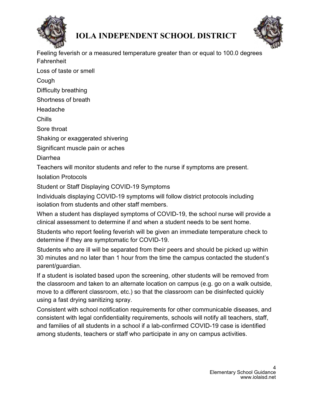



Feeling feverish or a measured temperature greater than or equal to 100.0 degrees Fahrenheit

Loss of taste or smell

Cough

Difficulty breathing

Shortness of breath

Headache

Chills

Sore throat

Shaking or exaggerated shivering

Significant muscle pain or aches

Diarrhea

Teachers will monitor students and refer to the nurse if symptoms are present.

Isolation Protocols

Student or Staff Displaying COVID-19 Symptoms

Individuals displaying COVID-19 symptoms will follow district protocols including isolation from students and other staff members.

When a student has displayed symptoms of COVID-19, the school nurse will provide a clinical assessment to determine if and when a student needs to be sent home.

Students who report feeling feverish will be given an immediate temperature check to determine if they are symptomatic for COVID-19.

Students who are ill will be separated from their peers and should be picked up within 30 minutes and no later than 1 hour from the time the campus contacted the student's parent/guardian.

If a student is isolated based upon the screening, other students will be removed from the classroom and taken to an alternate location on campus (e.g. go on a walk outside, move to a different classroom, etc.) so that the classroom can be disinfected quickly using a fast drying sanitizing spray.

Consistent with school notification requirements for other communicable diseases, and consistent with legal confidentiality requirements, schools will notify all teachers, staff, and families of all students in a school if a lab-confirmed COVID-19 case is identified among students, teachers or staff who participate in any on campus activities.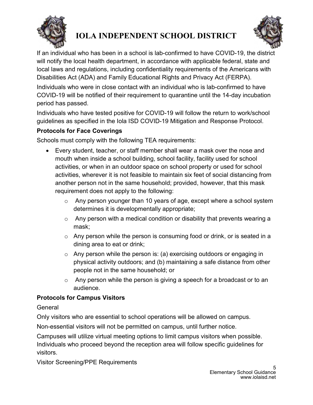



If an individual who has been in a school is lab-confirmed to have COVID-19, the district will notify the local health department, in accordance with applicable federal, state and local laws and regulations, including confidentiality requirements of the Americans with Disabilities Act (ADA) and Family Educational Rights and Privacy Act (FERPA).

Individuals who were in close contact with an individual who is lab-confirmed to have COVID-19 will be notified of their requirement to quarantine until the 14-day incubation period has passed.

Individuals who have tested positive for COVID-19 will follow the return to work/school guidelines as specified in the Iola ISD COVID-19 Mitigation and Response Protocol.

#### Protocols for Face Coverings

Schools must comply with the following TEA requirements:

- Every student, teacher, or staff member shall wear a mask over the nose and mouth when inside a school building, school facility, facility used for school activities, or when in an outdoor space on school property or used for school activities, wherever it is not feasible to maintain six feet of social distancing from another person not in the same household; provided, however, that this mask requirement does not apply to the following:
	- $\circ$  Any person younger than 10 years of age, except where a school system determines it is developmentally appropriate;
	- $\circ$  Any person with a medical condition or disability that prevents wearing a mask;
	- $\circ$  Any person while the person is consuming food or drink, or is seated in a dining area to eat or drink;
	- o Any person while the person is: (a) exercising outdoors or engaging in physical activity outdoors; and (b) maintaining a safe distance from other people not in the same household; or
	- $\circ$  Any person while the person is giving a speech for a broadcast or to an audience.

#### Protocols for Campus Visitors

#### **General**

Only visitors who are essential to school operations will be allowed on campus.

Non-essential visitors will not be permitted on campus, until further notice.

Campuses will utilize virtual meeting options to limit campus visitors when possible. Individuals who proceed beyond the reception area will follow specific guidelines for visitors.

Visitor Screening/PPE Requirements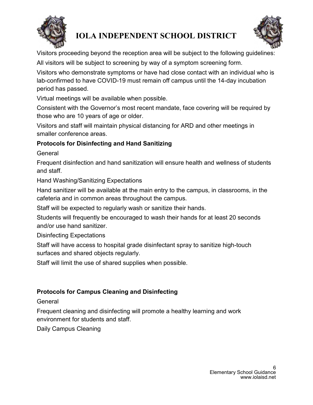



Visitors proceeding beyond the reception area will be subject to the following guidelines: All visitors will be subject to screening by way of a symptom screening form.

Visitors who demonstrate symptoms or have had close contact with an individual who is lab-confirmed to have COVID-19 must remain off campus until the 14-day incubation period has passed.

Virtual meetings will be available when possible.

Consistent with the Governor's most recent mandate, face covering will be required by those who are 10 years of age or older.

Visitors and staff will maintain physical distancing for ARD and other meetings in smaller conference areas.

#### Protocols for Disinfecting and Hand Sanitizing

**General** 

Frequent disinfection and hand sanitization will ensure health and wellness of students and staff.

Hand Washing/Sanitizing Expectations

Hand sanitizer will be available at the main entry to the campus, in classrooms, in the cafeteria and in common areas throughout the campus.

Staff will be expected to regularly wash or sanitize their hands.

Students will frequently be encouraged to wash their hands for at least 20 seconds and/or use hand sanitizer.

Disinfecting Expectations

Staff will have access to hospital grade disinfectant spray to sanitize high-touch surfaces and shared objects regularly.

Staff will limit the use of shared supplies when possible.

#### Protocols for Campus Cleaning and Disinfecting

General

Frequent cleaning and disinfecting will promote a healthy learning and work environment for students and staff.

Daily Campus Cleaning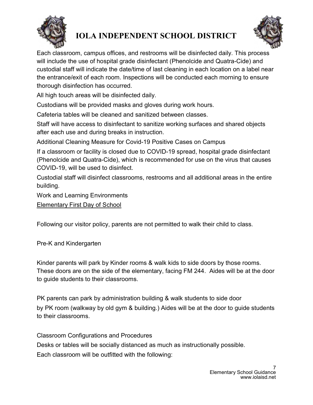



Each classroom, campus offices, and restrooms will be disinfected daily. This process will include the use of hospital grade disinfectant (Phenolcide and Quatra-Cide) and custodial staff will indicate the date/time of last cleaning in each location on a label near the entrance/exit of each room. Inspections will be conducted each morning to ensure thorough disinfection has occurred.

All high touch areas will be disinfected daily.

Custodians will be provided masks and gloves during work hours.

Cafeteria tables will be cleaned and sanitized between classes.

Staff will have access to disinfectant to sanitize working surfaces and shared objects after each use and during breaks in instruction.

Additional Cleaning Measure for Covid-19 Positive Cases on Campus

If a classroom or facility is closed due to COVID-19 spread, hospital grade disinfectant (Phenolcide and Quatra-Cide), which is recommended for use on the virus that causes COVID-19, will be used to disinfect.

Custodial staff will disinfect classrooms, restrooms and all additional areas in the entire building.

Work and Learning Environments

Elementary First Day of School

Following our visitor policy, parents are not permitted to walk their child to class.

Pre-K and Kindergarten

Kinder parents will park by Kinder rooms & walk kids to side doors by those rooms. These doors are on the side of the elementary, facing FM 244. Aides will be at the door to guide students to their classrooms.

PK parents can park by administration building & walk students to side door

by PK room (walkway by old gym & building.) Aides will be at the door to guide students to their classrooms.

Classroom Configurations and Procedures

Desks or tables will be socially distanced as much as instructionally possible.

Each classroom will be outfitted with the following: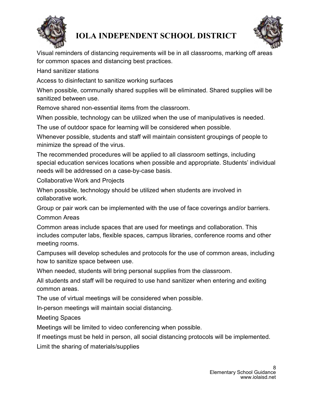



Visual reminders of distancing requirements will be in all classrooms, marking off areas for common spaces and distancing best practices.

Hand sanitizer stations

Access to disinfectant to sanitize working surfaces

When possible, communally shared supplies will be eliminated. Shared supplies will be sanitized between use.

Remove shared non-essential items from the classroom.

When possible, technology can be utilized when the use of manipulatives is needed.

The use of outdoor space for learning will be considered when possible.

Whenever possible, students and staff will maintain consistent groupings of people to minimize the spread of the virus.

The recommended procedures will be applied to all classroom settings, including special education services locations when possible and appropriate. Students' individual needs will be addressed on a case-by-case basis.

Collaborative Work and Projects

When possible, technology should be utilized when students are involved in collaborative work.

Group or pair work can be implemented with the use of face coverings and/or barriers.

Common Areas

Common areas include spaces that are used for meetings and collaboration. This includes computer labs, flexible spaces, campus libraries, conference rooms and other meeting rooms.

Campuses will develop schedules and protocols for the use of common areas, including how to sanitize space between use.

When needed, students will bring personal supplies from the classroom.

All students and staff will be required to use hand sanitizer when entering and exiting common areas.

The use of virtual meetings will be considered when possible.

In-person meetings will maintain social distancing.

Meeting Spaces

Meetings will be limited to video conferencing when possible.

If meetings must be held in person, all social distancing protocols will be implemented.

Limit the sharing of materials/supplies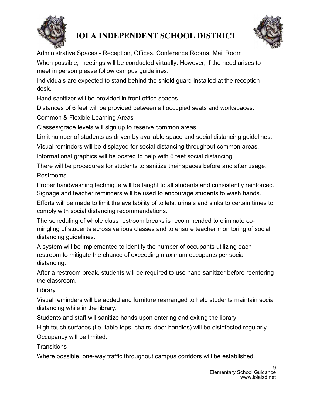



Administrative Spaces - Reception, Offices, Conference Rooms, Mail Room When possible, meetings will be conducted virtually. However, if the need arises to meet in person please follow campus guidelines:

Individuals are expected to stand behind the shield guard installed at the reception desk.

Hand sanitizer will be provided in front office spaces.

Distances of 6 feet will be provided between all occupied seats and workspaces.

Common & Flexible Learning Areas

Classes/grade levels will sign up to reserve common areas.

Limit number of students as driven by available space and social distancing guidelines.

Visual reminders will be displayed for social distancing throughout common areas.

Informational graphics will be posted to help with 6 feet social distancing.

There will be procedures for students to sanitize their spaces before and after usage. Restrooms

Proper handwashing technique will be taught to all students and consistently reinforced. Signage and teacher reminders will be used to encourage students to wash hands.

Efforts will be made to limit the availability of toilets, urinals and sinks to certain times to comply with social distancing recommendations.

The scheduling of whole class restroom breaks is recommended to eliminate comingling of students across various classes and to ensure teacher monitoring of social distancing guidelines.

A system will be implemented to identify the number of occupants utilizing each restroom to mitigate the chance of exceeding maximum occupants per social distancing.

After a restroom break, students will be required to use hand sanitizer before reentering the classroom.

Library

Visual reminders will be added and furniture rearranged to help students maintain social distancing while in the library.

Students and staff will sanitize hands upon entering and exiting the library.

High touch surfaces (i.e. table tops, chairs, door handles) will be disinfected regularly.

Occupancy will be limited.

**Transitions** 

Where possible, one-way traffic throughout campus corridors will be established.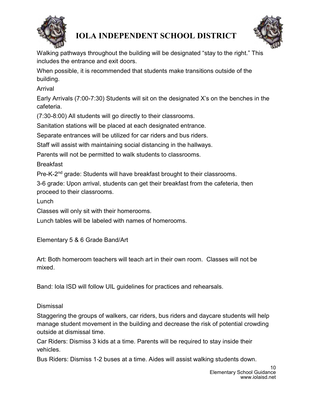



Walking pathways throughout the building will be designated "stay to the right." This includes the entrance and exit doors.

When possible, it is recommended that students make transitions outside of the building.

Arrival

Early Arrivals (7:00-7:30) Students will sit on the designated X's on the benches in the cafeteria.

(7:30-8:00) All students will go directly to their classrooms.

Sanitation stations will be placed at each designated entrance.

Separate entrances will be utilized for car riders and bus riders.

Staff will assist with maintaining social distancing in the hallways.

Parents will not be permitted to walk students to classrooms.

**Breakfast** 

Pre-K-2nd grade: Students will have breakfast brought to their classrooms.

3-6 grade: Upon arrival, students can get their breakfast from the cafeteria, then proceed to their classrooms.

Lunch

Classes will only sit with their homerooms.

Lunch tables will be labeled with names of homerooms.

Elementary 5 & 6 Grade Band/Art

Art: Both homeroom teachers will teach art in their own room. Classes will not be mixed.

Band: Iola ISD will follow UIL guidelines for practices and rehearsals.

### Dismissal

Staggering the groups of walkers, car riders, bus riders and daycare students will help manage student movement in the building and decrease the risk of potential crowding outside at dismissal time.

Car Riders: Dismiss 3 kids at a time. Parents will be required to stay inside their vehicles.

Bus Riders: Dismiss 1-2 buses at a time. Aides will assist walking students down.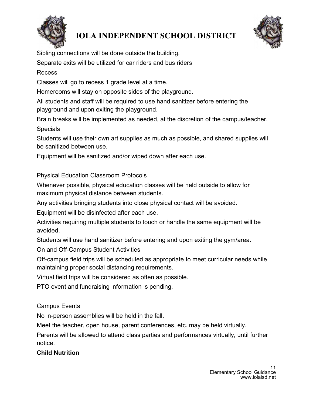



Sibling connections will be done outside the building.

Separate exits will be utilized for car riders and bus riders

#### Recess

Classes will go to recess 1 grade level at a time.

Homerooms will stay on opposite sides of the playground.

All students and staff will be required to use hand sanitizer before entering the playground and upon exiting the playground.

Brain breaks will be implemented as needed, at the discretion of the campus/teacher. **Specials** 

Students will use their own art supplies as much as possible, and shared supplies will be sanitized between use.

Equipment will be sanitized and/or wiped down after each use.

#### Physical Education Classroom Protocols

Whenever possible, physical education classes will be held outside to allow for maximum physical distance between students.

Any activities bringing students into close physical contact will be avoided.

Equipment will be disinfected after each use.

Activities requiring multiple students to touch or handle the same equipment will be avoided.

Students will use hand sanitizer before entering and upon exiting the gym/area.

On and Off-Campus Student Activities

Off-campus field trips will be scheduled as appropriate to meet curricular needs while maintaining proper social distancing requirements.

Virtual field trips will be considered as often as possible.

PTO event and fundraising information is pending.

#### Campus Events

No in-person assemblies will be held in the fall.

Meet the teacher, open house, parent conferences, etc. may be held virtually.

Parents will be allowed to attend class parties and performances virtually, until further notice.

#### Child Nutrition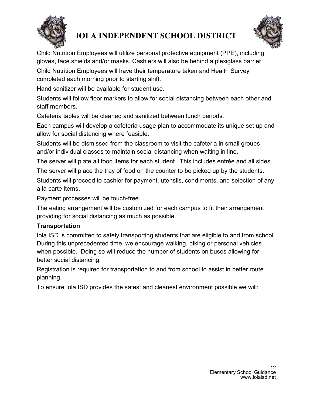



Child Nutrition Employees will utilize personal protective equipment (PPE), including gloves, face shields and/or masks. Cashiers will also be behind a plexiglass barrier.

Child Nutrition Employees will have their temperature taken and Health Survey completed each morning prior to starting shift.

Hand sanitizer will be available for student use.

Students will follow floor markers to allow for social distancing between each other and staff members.

Cafeteria tables will be cleaned and sanitized between lunch periods.

Each campus will develop a cafeteria usage plan to accommodate its unique set up and allow for social distancing where feasible.

Students will be dismissed from the classroom to visit the cafeteria in small groups and/or individual classes to maintain social distancing when waiting in line.

The server will plate all food items for each student. This includes entrée and all sides.

The server will place the tray of food on the counter to be picked up by the students.

Students will proceed to cashier for payment, utensils, condiments, and selection of any a la carte items.

Payment processes will be touch-free.

The eating arrangement will be customized for each campus to fit their arrangement providing for social distancing as much as possible.

### **Transportation**

Iola ISD is committed to safely transporting students that are eligible to and from school. During this unprecedented time, we encourage walking, biking or personal vehicles when possible. Doing so will reduce the number of students on buses allowing for better social distancing.

Registration is required for transportation to and from school to assist in better route planning.

To ensure Iola ISD provides the safest and cleanest environment possible we will: